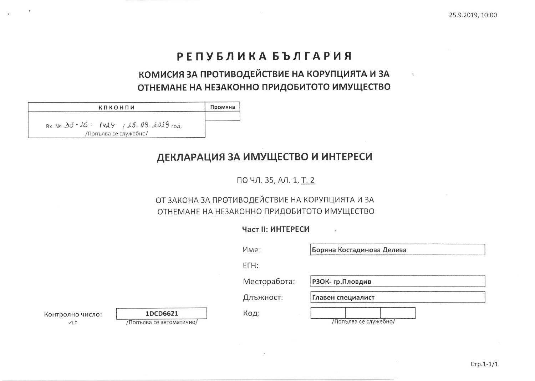## РЕПУБЛИКА БЪЛГАРИЯ

# КОМИСИЯ ЗА ПРОТИВОДЕЙСТВИЕ НА КОРУПЦИЯТА И ЗА ОТНЕМАНЕ НА НЕЗАКОННО ПРИДОБИТОТО ИМУЩЕСТВО

КПКОНПИ Промяна BX. No  $35 - 16 - 1424$  / 25. 09. 2019 год.

/Попълва се служебно/

### ДЕКЛАРАЦИЯ ЗА ИМУЩЕСТВО И ИНТЕРЕСИ

ПО ЧЛ. 35, АЛ. 1, Т. 2

#### ОТ ЗАКОНА ЗА ПРОТИВОДЕЙСТВИЕ НА КОРУПЦИЯТА И ЗА ОТНЕМАНЕ НА НЕЗАКОННО ПРИДОБИТОТО ИМУЩЕСТВО

Част II: ИНТЕРЕСИ

|                          |                                      | Име:         | Боряна Костадинова Делева |
|--------------------------|--------------------------------------|--------------|---------------------------|
|                          |                                      | $ETH$ :      |                           |
|                          |                                      | Месторабота: | РЗОК-гр.Пловдив           |
|                          |                                      | Длъжност:    | Главен специалист         |
| Контролно число:<br>V1.0 | 1DCD6621<br>/Попълва се автоматично/ | Код:         | /Попълва се служебно/     |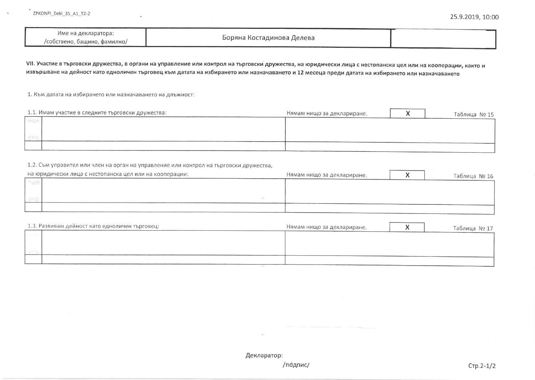| Име на декларатора:<br>/собствено, бащино, фамилно/ | Боряна Костадинова Делева |
|-----------------------------------------------------|---------------------------|
|                                                     |                           |

VII. Участие в търговски дружества, в органи на управление или контрол на търговски дружества, на юридически лица с нестопанска цел или на кооперации, както и извършване на дейност като едноличен търговец към датата на избирането или назначаването и 12 месеца преди датата на избирането или назначаването

1. Към датата на избирането или назначаването на длъжност:

| 1.1. Имам участие в следните търговски дружества: | Нямам нищо за деклариране. | Таблица № 15 |
|---------------------------------------------------|----------------------------|--------------|
|                                                   |                            |              |
|                                                   |                            |              |
|                                                   |                            |              |

#### 1.2. Съм управител или член на орган на управление или контрол на търговски дружества,

| на юридически лица с нестопанска цел или на кооперации: | Нямам нищо за деклариране. | Таблица № 16 |
|---------------------------------------------------------|----------------------------|--------------|
|                                                         |                            |              |
|                                                         |                            |              |
|                                                         |                            |              |
|                                                         |                            |              |

| 1.3. Развивам дейност като едноличен търговец: |  | Нямам нищо за деклариране. | Таблица № 17 |
|------------------------------------------------|--|----------------------------|--------------|
|                                                |  |                            |              |
|                                                |  |                            |              |
| a stat                                         |  |                            |              |
|                                                |  |                            |              |

Декларатор:

/подпис/